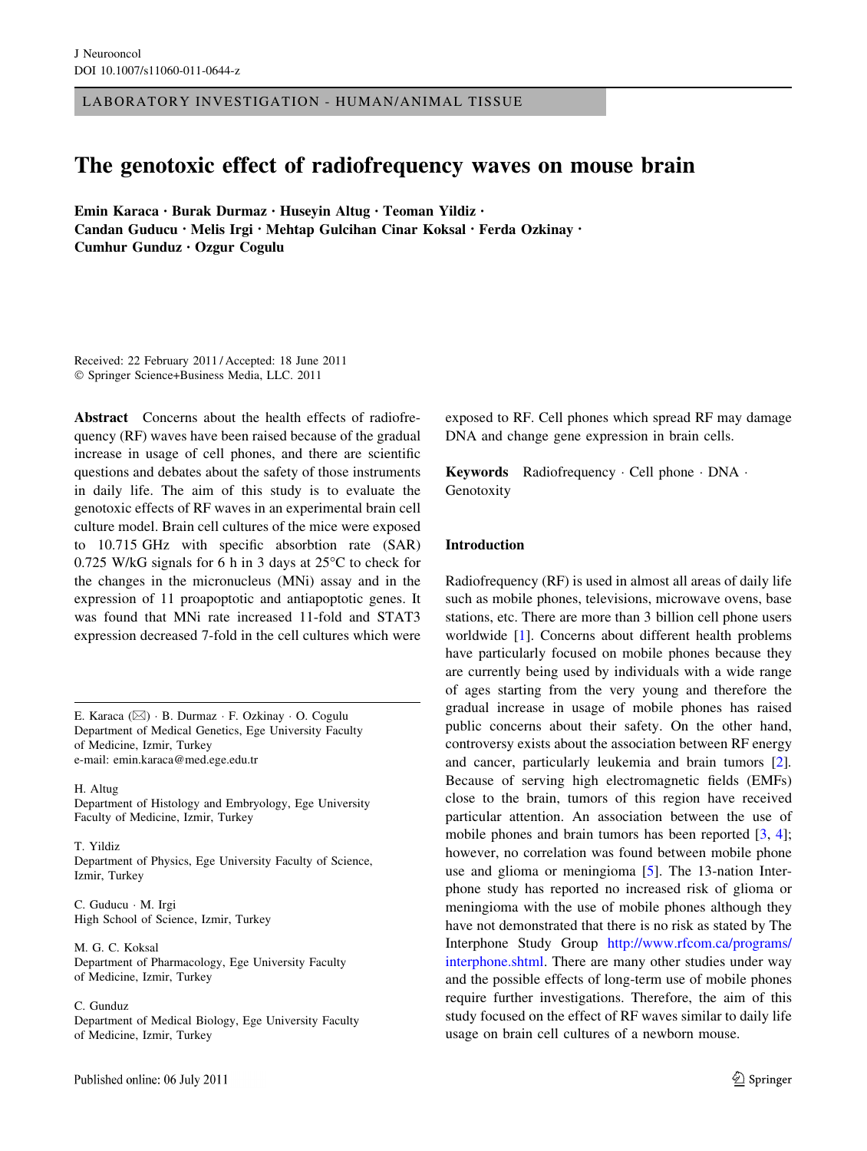LABORATORY INVESTIGATION - HUMAN/ANIMAL TISSUE

# The genotoxic effect of radiofrequency waves on mouse brain

Emin Karaca • Burak Durmaz • Huseyin Altug • Teoman Yildiz • Candan Guducu • Melis Irgi • Mehtap Gulcihan Cinar Koksal • Ferda Ozkinay • Cumhur Gunduz • Ozgur Cogulu

Received: 22 February 2011 / Accepted: 18 June 2011 - Springer Science+Business Media, LLC. 2011

Abstract Concerns about the health effects of radiofrequency (RF) waves have been raised because of the gradual increase in usage of cell phones, and there are scientific questions and debates about the safety of those instruments in daily life. The aim of this study is to evaluate the genotoxic effects of RF waves in an experimental brain cell culture model. Brain cell cultures of the mice were exposed to 10.715 GHz with specific absorbtion rate (SAR) 0.725 W/kG signals for 6 h in 3 days at  $25^{\circ}$ C to check for the changes in the micronucleus (MNi) assay and in the expression of 11 proapoptotic and antiapoptotic genes. It was found that MNi rate increased 11-fold and STAT3 expression decreased 7-fold in the cell cultures which were

E. Karaca (⊠) · B. Durmaz · F. Ozkinay · O. Cogulu Department of Medical Genetics, Ege University Faculty of Medicine, Izmir, Turkey e-mail: emin.karaca@med.ege.edu.tr

H. Altug

Department of Histology and Embryology, Ege University Faculty of Medicine, Izmir, Turkey

T. Yildiz Department of Physics, Ege University Faculty of Science, Izmir, Turkey

C. Guducu - M. Irgi High School of Science, Izmir, Turkey

M. G. C. Koksal Department of Pharmacology, Ege University Faculty of Medicine, Izmir, Turkey

C. Gunduz

Department of Medical Biology, Ege University Faculty of Medicine, Izmir, Turkey

exposed to RF. Cell phones which spread RF may damage DNA and change gene expression in brain cells.

Keywords Radiofrequency - Cell phone - DNA - Genotoxity

### Introduction

Radiofrequency (RF) is used in almost all areas of daily life such as mobile phones, televisions, microwave ovens, base stations, etc. There are more than 3 billion cell phone users worldwide [\[1](#page-5-0)]. Concerns about different health problems have particularly focused on mobile phones because they are currently being used by individuals with a wide range of ages starting from the very young and therefore the gradual increase in usage of mobile phones has raised public concerns about their safety. On the other hand, controversy exists about the association between RF energy and cancer, particularly leukemia and brain tumors [\[2](#page-5-0)]. Because of serving high electromagnetic fields (EMFs) close to the brain, tumors of this region have received particular attention. An association between the use of mobile phones and brain tumors has been reported [\[3](#page-5-0), [4](#page-5-0)]; however, no correlation was found between mobile phone use and glioma or meningioma [[5\]](#page-5-0). The 13-nation Interphone study has reported no increased risk of glioma or meningioma with the use of mobile phones although they have not demonstrated that there is no risk as stated by The Interphone Study Group [http://www.rfcom.ca/programs/](https://ssl.haifa.ac.il/programs/,DanaInfo=.awxyCvkivuIml+interphone.shtml) [interphone.shtml.](https://ssl.haifa.ac.il/programs/,DanaInfo=.awxyCvkivuIml+interphone.shtml) There are many other studies under way and the possible effects of long-term use of mobile phones require further investigations. Therefore, the aim of this study focused on the effect of RF waves similar to daily life usage on brain cell cultures of a newborn mouse.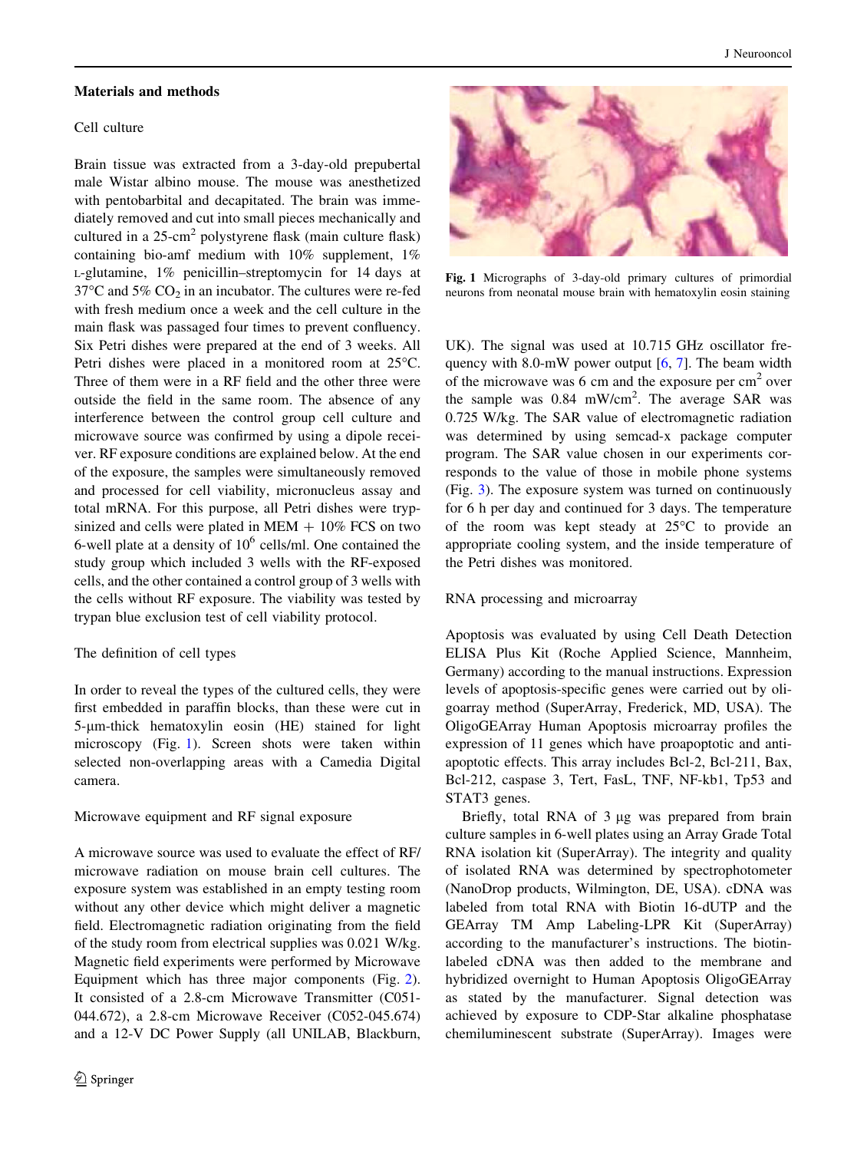#### Materials and methods

# Cell culture

Brain tissue was extracted from a 3-day-old prepubertal male Wistar albino mouse. The mouse was anesthetized with pentobarbital and decapitated. The brain was immediately removed and cut into small pieces mechanically and cultured in a  $25$ -cm<sup>2</sup> polystyrene flask (main culture flask) containing bio-amf medium with 10% supplement, 1% L-glutamine, 1% penicillin–streptomycin for 14 days at  $37^{\circ}$ C and  $5\%$  CO<sub>2</sub> in an incubator. The cultures were re-fed with fresh medium once a week and the cell culture in the main flask was passaged four times to prevent confluency. Six Petri dishes were prepared at the end of 3 weeks. All Petri dishes were placed in a monitored room at 25°C. Three of them were in a RF field and the other three were outside the field in the same room. The absence of any interference between the control group cell culture and microwave source was confirmed by using a dipole receiver. RF exposure conditions are explained below. At the end of the exposure, the samples were simultaneously removed and processed for cell viability, micronucleus assay and total mRNA. For this purpose, all Petri dishes were trypsinized and cells were plated in  $MEM + 10\%$  FCS on two 6-well plate at a density of  $10^6$  cells/ml. One contained the study group which included 3 wells with the RF-exposed cells, and the other contained a control group of 3 wells with the cells without RF exposure. The viability was tested by trypan blue exclusion test of cell viability protocol.

## The definition of cell types

In order to reveal the types of the cultured cells, they were first embedded in paraffin blocks, than these were cut in 5-um-thick hematoxylin eosin (HE) stained for light microscopy (Fig. 1). Screen shots were taken within selected non-overlapping areas with a Camedia Digital camera.

#### Microwave equipment and RF signal exposure

A microwave source was used to evaluate the effect of RF/ microwave radiation on mouse brain cell cultures. The exposure system was established in an empty testing room without any other device which might deliver a magnetic field. Electromagnetic radiation originating from the field of the study room from electrical supplies was 0.021 W/kg. Magnetic field experiments were performed by Microwave Equipment which has three major components (Fig. [2](#page-2-0)). It consisted of a 2.8-cm Microwave Transmitter (C051- 044.672), a 2.8-cm Microwave Receiver (C052-045.674) and a 12-V DC Power Supply (all UNILAB, Blackburn,



Fig. 1 Micrographs of 3-day-old primary cultures of primordial neurons from neonatal mouse brain with hematoxylin eosin staining

UK). The signal was used at 10.715 GHz oscillator frequency with 8.0-mW power output  $[6, 7]$  $[6, 7]$  $[6, 7]$ . The beam width of the microwave was 6 cm and the exposure per  $cm<sup>2</sup>$  over the sample was 0.84 mW/cm<sup>2</sup>. The average SAR was 0.725 W/kg. The SAR value of electromagnetic radiation was determined by using semcad-x package computer program. The SAR value chosen in our experiments corresponds to the value of those in mobile phone systems (Fig. [3\)](#page-3-0). The exposure system was turned on continuously for 6 h per day and continued for 3 days. The temperature of the room was kept steady at  $25^{\circ}$ C to provide an appropriate cooling system, and the inside temperature of the Petri dishes was monitored.

#### RNA processing and microarray

Apoptosis was evaluated by using Cell Death Detection ELISA Plus Kit (Roche Applied Science, Mannheim, Germany) according to the manual instructions. Expression levels of apoptosis-specific genes were carried out by oligoarray method (SuperArray, Frederick, MD, USA). The OligoGEArray Human Apoptosis microarray profiles the expression of 11 genes which have proapoptotic and antiapoptotic effects. This array includes Bcl-2, Bcl-211, Bax, Bcl-212, caspase 3, Tert, FasL, TNF, NF-kb1, Tp53 and STAT3 genes.

Briefly, total RNA of 3 µg was prepared from brain culture samples in 6-well plates using an Array Grade Total RNA isolation kit (SuperArray). The integrity and quality of isolated RNA was determined by spectrophotometer (NanoDrop products, Wilmington, DE, USA). cDNA was labeled from total RNA with Biotin 16-dUTP and the GEArray TM Amp Labeling-LPR Kit (SuperArray) according to the manufacturer's instructions. The biotinlabeled cDNA was then added to the membrane and hybridized overnight to Human Apoptosis OligoGEArray as stated by the manufacturer. Signal detection was achieved by exposure to CDP-Star alkaline phosphatase chemiluminescent substrate (SuperArray). Images were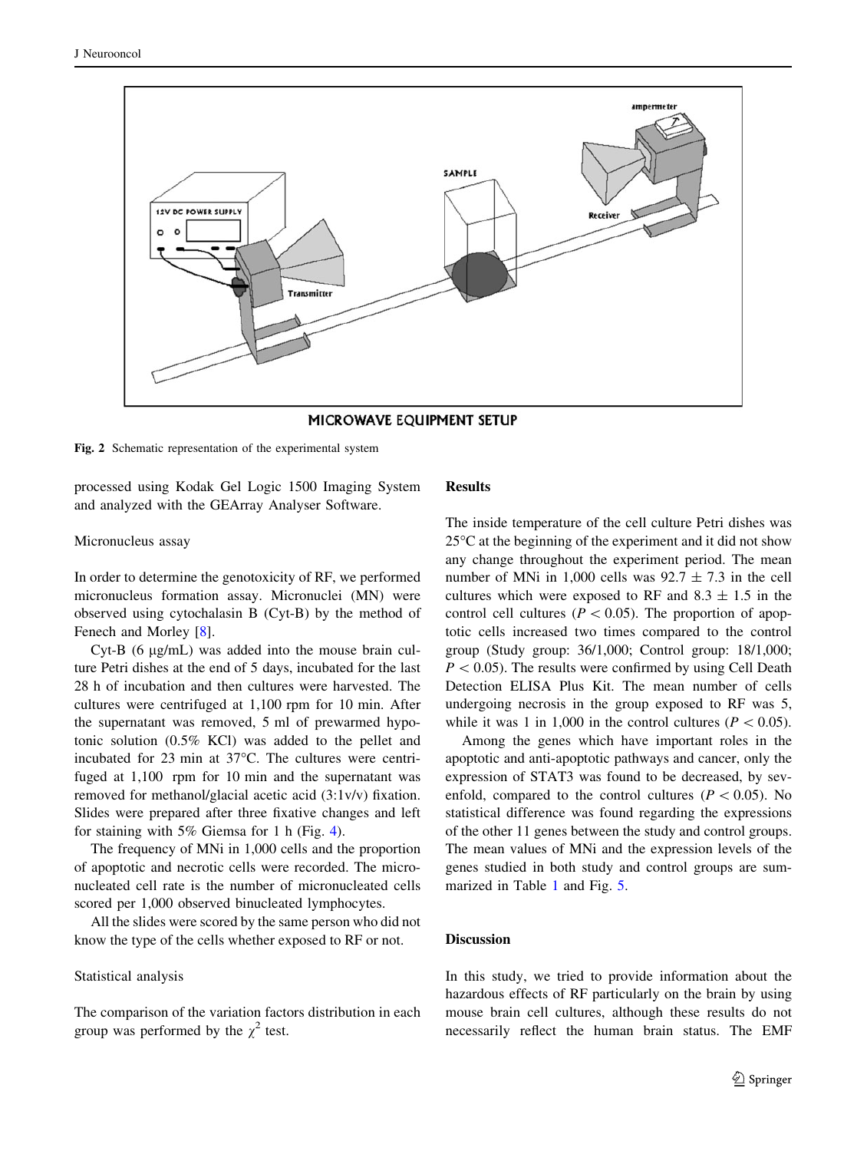<span id="page-2-0"></span>

MICROWAVE EQUIPMENT SETUP

Fig. 2 Schematic representation of the experimental system

processed using Kodak Gel Logic 1500 Imaging System and analyzed with the GEArray Analyser Software.

#### Micronucleus assay

In order to determine the genotoxicity of RF, we performed micronucleus formation assay. Micronuclei (MN) were observed using cytochalasin B (Cyt-B) by the method of Fenech and Morley [\[8](#page-5-0)].

Cyt-B  $(6 \mu g/mL)$  was added into the mouse brain culture Petri dishes at the end of 5 days, incubated for the last 28 h of incubation and then cultures were harvested. The cultures were centrifuged at 1,100 rpm for 10 min. After the supernatant was removed, 5 ml of prewarmed hypotonic solution (0.5% KCl) was added to the pellet and incubated for  $23$  min at  $37^{\circ}$ C. The cultures were centrifuged at 1,100 rpm for 10 min and the supernatant was removed for methanol/glacial acetic acid (3:1v/v) fixation. Slides were prepared after three fixative changes and left for staining with 5% Giemsa for 1 h (Fig. [4\)](#page-3-0).

The frequency of MNi in 1,000 cells and the proportion of apoptotic and necrotic cells were recorded. The micronucleated cell rate is the number of micronucleated cells scored per 1,000 observed binucleated lymphocytes.

All the slides were scored by the same person who did not know the type of the cells whether exposed to RF or not.

#### Statistical analysis

The comparison of the variation factors distribution in each group was performed by the  $\chi^2$  test.

# **Results**

The inside temperature of the cell culture Petri dishes was  $25^{\circ}$ C at the beginning of the experiment and it did not show any change throughout the experiment period. The mean number of MNi in 1,000 cells was  $92.7 \pm 7.3$  in the cell cultures which were exposed to RF and  $8.3 \pm 1.5$  in the control cell cultures ( $P \lt 0.05$ ). The proportion of apoptotic cells increased two times compared to the control group (Study group: 36/1,000; Control group: 18/1,000;  $P < 0.05$ ). The results were confirmed by using Cell Death Detection ELISA Plus Kit. The mean number of cells undergoing necrosis in the group exposed to RF was 5, while it was 1 in 1,000 in the control cultures ( $P < 0.05$ ).

Among the genes which have important roles in the apoptotic and anti-apoptotic pathways and cancer, only the expression of STAT3 was found to be decreased, by sevenfold, compared to the control cultures ( $P < 0.05$ ). No statistical difference was found regarding the expressions of the other 11 genes between the study and control groups. The mean values of MNi and the expression levels of the genes studied in both study and control groups are summarized in Table [1](#page-3-0) and Fig. [5](#page-4-0).

## **Discussion**

In this study, we tried to provide information about the hazardous effects of RF particularly on the brain by using mouse brain cell cultures, although these results do not necessarily reflect the human brain status. The EMF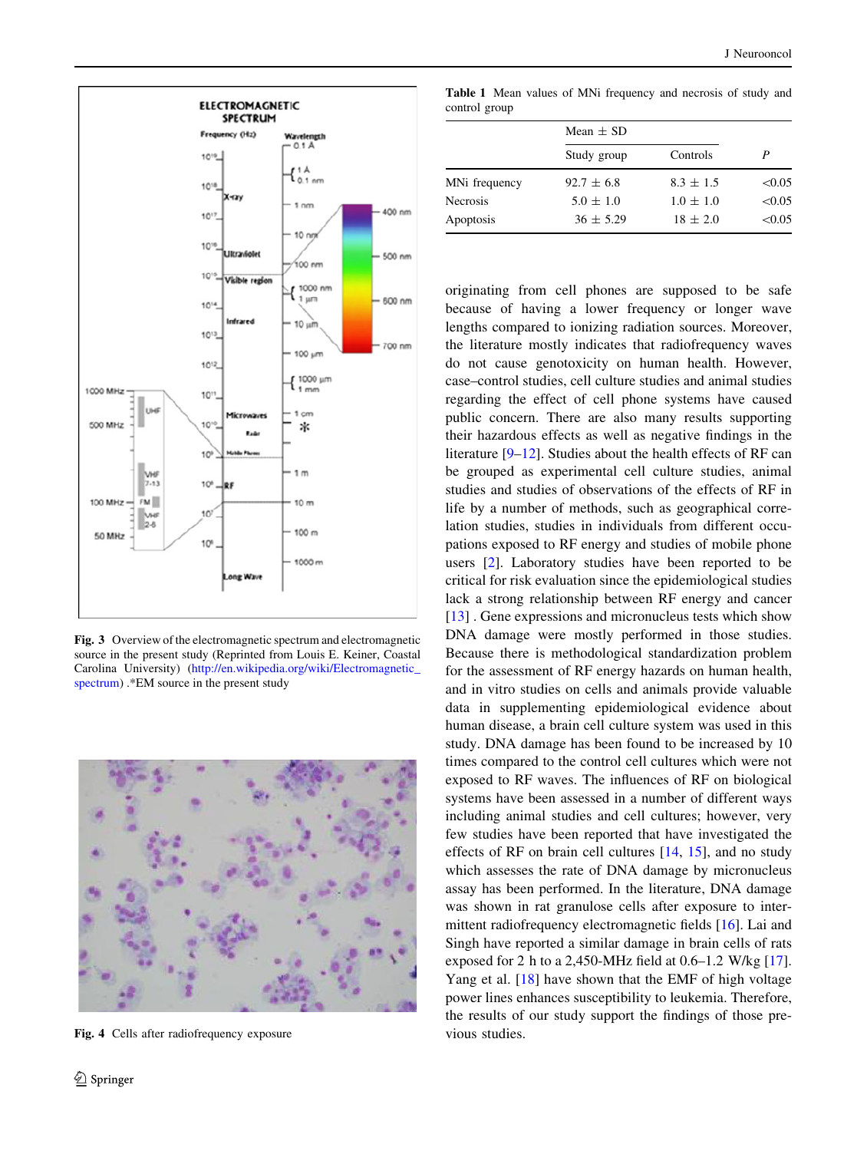<span id="page-3-0"></span>

Fig. 3 Overview of the electromagnetic spectrum and electromagnetic source in the present study (Reprinted from Louis E. Keiner, Coastal Carolina University) ([http://en.wikipedia.org/wiki/Electromagnetic\\_](https://ssl.haifa.ac.il/wiki/,DanaInfo=.aeoBzmpowmmslL15v+Electromagnetic_spectrum) [spectrum](https://ssl.haifa.ac.il/wiki/,DanaInfo=.aeoBzmpowmmslL15v+Electromagnetic_spectrum)) .\*EM source in the present study



Fig. 4 Cells after radiofrequency exposure

Table 1 Mean values of MNi frequency and necrosis of study and control group

|                 | Mean $\pm$ SD  |               |        |
|-----------------|----------------|---------------|--------|
|                 | Study group    | Controls      |        |
| MNi frequency   | $92.7 \pm 6.8$ | $8.3 \pm 1.5$ | < 0.05 |
| <b>Necrosis</b> | $5.0 \pm 1.0$  | $1.0 \pm 1.0$ | < 0.05 |
| Apoptosis       | $36 \pm 5.29$  | $18 \pm 2.0$  | < 0.05 |

originating from cell phones are supposed to be safe because of having a lower frequency or longer wave lengths compared to ionizing radiation sources. Moreover, the literature mostly indicates that radiofrequency waves do not cause genotoxicity on human health. However, case–control studies, cell culture studies and animal studies regarding the effect of cell phone systems have caused public concern. There are also many results supporting their hazardous effects as well as negative findings in the literature [\[9–12](#page-5-0)]. Studies about the health effects of RF can be grouped as experimental cell culture studies, animal studies and studies of observations of the effects of RF in life by a number of methods, such as geographical correlation studies, studies in individuals from different occupations exposed to RF energy and studies of mobile phone users [\[2](#page-5-0)]. Laboratory studies have been reported to be critical for risk evaluation since the epidemiological studies lack a strong relationship between RF energy and cancer [\[13](#page-5-0)]. Gene expressions and micronucleus tests which show DNA damage were mostly performed in those studies. Because there is methodological standardization problem for the assessment of RF energy hazards on human health, and in vitro studies on cells and animals provide valuable data in supplementing epidemiological evidence about human disease, a brain cell culture system was used in this study. DNA damage has been found to be increased by 10 times compared to the control cell cultures which were not exposed to RF waves. The influences of RF on biological systems have been assessed in a number of different ways including animal studies and cell cultures; however, very few studies have been reported that have investigated the effects of RF on brain cell cultures [[14,](#page-5-0) [15](#page-5-0)], and no study which assesses the rate of DNA damage by micronucleus assay has been performed. In the literature, DNA damage was shown in rat granulose cells after exposure to intermittent radiofrequency electromagnetic fields [\[16](#page-5-0)]. Lai and Singh have reported a similar damage in brain cells of rats exposed for 2 h to a 2,450-MHz field at 0.6–1.2 W/kg [\[17](#page-5-0)]. Yang et al. [[18\]](#page-5-0) have shown that the EMF of high voltage power lines enhances susceptibility to leukemia. Therefore, the results of our study support the findings of those previous studies.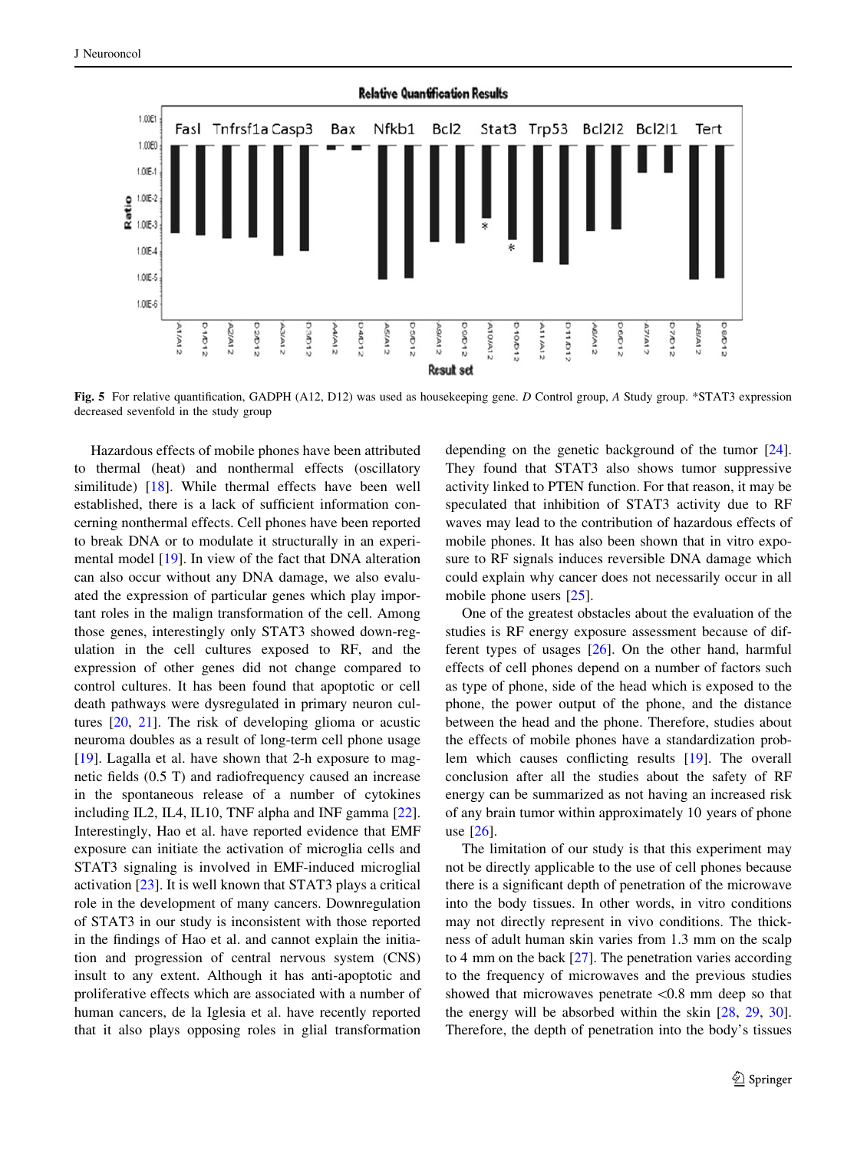<span id="page-4-0"></span>

Fig. 5 For relative quantification, GADPH (A12, D12) was used as housekeeping gene. D Control group, A Study group. \*STAT3 expression decreased sevenfold in the study group

Hazardous effects of mobile phones have been attributed to thermal (heat) and nonthermal effects (oscillatory similitude) [\[18](#page-5-0)]. While thermal effects have been well established, there is a lack of sufficient information concerning nonthermal effects. Cell phones have been reported to break DNA or to modulate it structurally in an experimental model [\[19](#page-5-0)]. In view of the fact that DNA alteration can also occur without any DNA damage, we also evaluated the expression of particular genes which play important roles in the malign transformation of the cell. Among those genes, interestingly only STAT3 showed down-regulation in the cell cultures exposed to RF, and the expression of other genes did not change compared to control cultures. It has been found that apoptotic or cell death pathways were dysregulated in primary neuron cultures [\[20](#page-5-0), [21](#page-5-0)]. The risk of developing glioma or acustic neuroma doubles as a result of long-term cell phone usage [\[19](#page-5-0)]. Lagalla et al. have shown that 2-h exposure to magnetic fields (0.5 T) and radiofrequency caused an increase in the spontaneous release of a number of cytokines including IL2, IL4, IL10, TNF alpha and INF gamma [\[22](#page-5-0)]. Interestingly, Hao et al. have reported evidence that EMF exposure can initiate the activation of microglia cells and STAT3 signaling is involved in EMF-induced microglial activation [\[23](#page-5-0)]. It is well known that STAT3 plays a critical role in the development of many cancers. Downregulation of STAT3 in our study is inconsistent with those reported in the findings of Hao et al. and cannot explain the initiation and progression of central nervous system (CNS) insult to any extent. Although it has anti-apoptotic and proliferative effects which are associated with a number of human cancers, de la Iglesia et al. have recently reported that it also plays opposing roles in glial transformation depending on the genetic background of the tumor [\[24](#page-5-0)]. They found that STAT3 also shows tumor suppressive activity linked to PTEN function. For that reason, it may be speculated that inhibition of STAT3 activity due to RF waves may lead to the contribution of hazardous effects of mobile phones. It has also been shown that in vitro exposure to RF signals induces reversible DNA damage which could explain why cancer does not necessarily occur in all mobile phone users [\[25](#page-5-0)].

One of the greatest obstacles about the evaluation of the studies is RF energy exposure assessment because of different types of usages [\[26](#page-5-0)]. On the other hand, harmful effects of cell phones depend on a number of factors such as type of phone, side of the head which is exposed to the phone, the power output of the phone, and the distance between the head and the phone. Therefore, studies about the effects of mobile phones have a standardization problem which causes conflicting results [\[19](#page-5-0)]. The overall conclusion after all the studies about the safety of RF energy can be summarized as not having an increased risk of any brain tumor within approximately 10 years of phone use [\[26](#page-5-0)].

The limitation of our study is that this experiment may not be directly applicable to the use of cell phones because there is a significant depth of penetration of the microwave into the body tissues. In other words, in vitro conditions may not directly represent in vivo conditions. The thickness of adult human skin varies from 1.3 mm on the scalp to 4 mm on the back [[27\]](#page-5-0). The penetration varies according to the frequency of microwaves and the previous studies showed that microwaves penetrate  $< 0.8$  mm deep so that the energy will be absorbed within the skin [[28,](#page-5-0) [29](#page-5-0), [30](#page-5-0)]. Therefore, the depth of penetration into the body's tissues